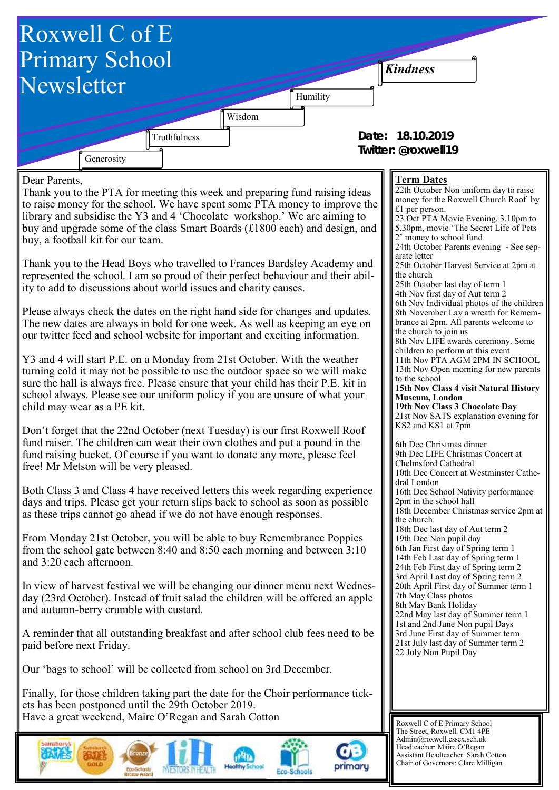